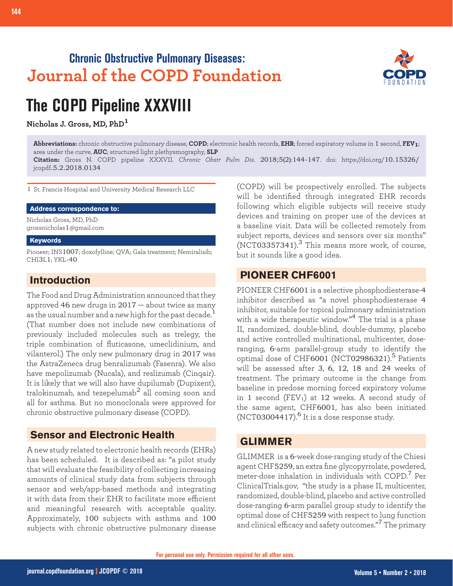# **Chronic Obstructive Pulmonary Diseases: Journal of the COPD Foundation**



# **The COPD Pipeline XXXVIII**

**Nicholas J. Gross, MD, PhD<sup>1</sup>**

**Abbreviations:** chronic obstructive pulmonary disease, **COPD**; electronic health records, **EHR**; forced expiratory volume in 1 second, **FEV1**; area under the curve, **AUC**; structured light plethysmography, **SLP**

**Citation:** Gross N. COPD pipeline XXXVII. *Chronic Obstr Pulm Dis*. 2018;5(2):144-147. doi: https://doi.org/10.15326/ jcopdf.5.2.2018.0134

1 St. Francis Hospital and University Medical Research LLC

### **Address correspondence to:**

Nicholas Gross, MD, PhD grossnicholas1@gmail.com

#### **Keywords**

Pioneer; INS1007; doxofylline; QVA; Gala treatment; Nemiralisib; CHI3L1; YKL-40

# **Introduction**

The Food and Drug Administration announced that they approved 46 new drugs in 2017 — about twice as many as the usual number and a new high for the past decade.<sup>1</sup> (That number does not include new combinations of previously included molecules such as trelegy, the triple combination of fluticasone, umeclidinium, and vilanterol.) The only new pulmonary drug in 2017 was the AstraZeneca drug benralizumab (Fasenra). We also have mepolizumab (Nucala), and reslizumab (Cinqair). It is likely that we will also have dupilumab (Dupixent), tralokinumab, and tezepelumab<sup>2</sup> all coming soon and all for asthma. But no monoclonals were approved for chronic obstructive pulmonary disease (COPD).

# **Sensor and Electronic Health**

A new study related to electronic health records (EHRs) has been scheduled. It is described as: "a pilot study that will evaluate the feasibility of collecting increasing amounts of clinical study data from subjects through sensor and web/app-based methods and integrating it with data from their EHR to facilitate more efficient and meaningful research with acceptable quality. Approximately, 100 subjects with asthma and 100 subjects with chronic obstructive pulmonary disease

(COPD) will be prospectively enrolled. The subjects will be identified through integrated EHR records following which eligible subjects will receive study devices and training on proper use of the devices at a baseline visit. Data will be collected remotely from subject reports, devices and sensors over six months"  $(NCT03357341).$ <sup>3</sup> This means more work, of course, but it sounds like a good idea.

# **PIONEER CHF6001**

PIONEER CHF6001 is a selective phosphodiesterase-4 inhibitor described as "a novel phosphodiesterase 4 inhibitor, suitable for topical pulmonary administration with a wide therapeutic window."4 The trial is a phase II, randomized, double-blind, double-dummy, placebo and active controlled multinational, multicenter, doseranging, 6-arm parallel-group study to identify the optimal dose of CHF6001 (NCT02986321). $^5$  Patients will be assessed after 3, 6, 12, 18 and 24 weeks of treatment. The primary outcome is the change from baseline in predose morning forced expiratory volume in 1 second  $(FEV_1)$  at 12 weeks. A second study of the same agent, CHF6001, has also been initiated (NCT03004417). $^6$  It is a dose response study.

# **GLIMMER**

GLIMMER is a 6-week dose-ranging study of the Chiesi agent CHF5259, an extra fine glycopyrrolate, powdered, meter-dose inhalation in individuals with COPD.7 Per ClinicalTrials.gov, "the study is a phase II, multicenter, randomized, double-blind, placebo and active controlled dose-ranging 6-arm parallel group study to identify the optimal dose of CHF5259 with respect to lung function and clinical efficacy and safety outcomes."<sup>7</sup> The primary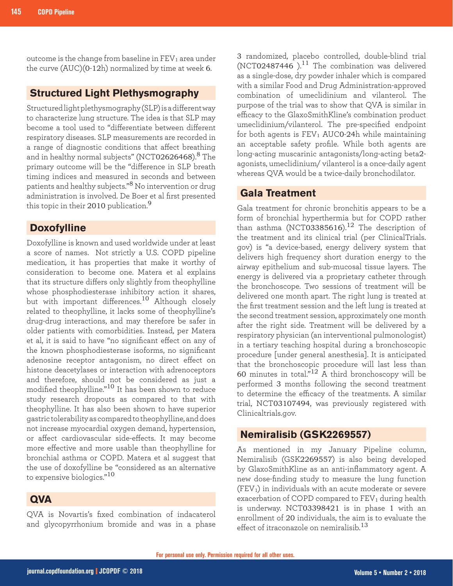outcome is the change from baseline in  $FEV<sub>1</sub>$  area under the curve (AUC)(0-12h) normalized by time at week 6.

## **Structured Light Plethysmography**

Structured light plethysmography (SLP) is a different way to characterize lung structure. The idea is that SLP may become a tool used to "differentiate between different respiratory diseases. SLP measurements are recorded in a range of diagnostic conditions that affect breathing and in healthy normal subjects" (NCT02626468).<sup>8</sup> The primary outcome will be the "difference in SLP breath timing indices and measured in seconds and between patients and healthy subjects."8 No intervention or drug administration is involved. De Boer et al first presented this topic in their 2010 publication.<sup>9</sup>

# **Doxofylline**

Doxofylline is known and used worldwide under at least a score of names. Not strictly a U.S. COPD pipeline medication, it has properties that make it worthy of consideration to become one. Matera et al explains that its structure differs only slightly from theophylline whose phosphodiesterase inhibitory action it shares, but with important differences.10 Although closely related to theophylline, it lacks some of theophylline's drug-drug interactions, and may therefore be safer in older patients with comorbidities. Instead, per Matera et al, it is said to have "no significant effect on any of the known phosphodiesterase isoforms, no significant adenosine receptor antagonism, no direct effect on histone deacetylases or interaction with adrenoceptors and therefore, should not be considered as just a modified theophylline."10 It has been shown to reduce study research dropouts as compared to that with theophylline. It has also been shown to have superior gastric tolerability as compared to theophylline, and does not increase myocardial oxygen demand, hypertension, or affect cardiovascular side-effects. It may become more effective and more usable than theophylline for bronchial asthma or COPD. Matera et al suggest that the use of doxofylline be "considered as an alternative to expensive biologics."<sup>10</sup>

# **QVA**

QVA is Novartis's fixed combination of indacaterol and glycopyrrhonium bromide and was in a phase 3 randomized, placebo controlled, double-blind trial (NCT02487446).<sup>11</sup> The combination was delivered as a single-dose, dry powder inhaler which is compared with a similar Food and Drug Administration-approved combination of umeclidinium and vilanterol. The purpose of the trial was to show that QVA is similar in efficacy to the GlaxoSmithKline's combination product umeclidinium/vilanterol. The pre-specified endpoint for both agents is  $FEV<sub>1</sub> AUC0-24h$  while maintaining an acceptable safety profile. While both agents are long-acting muscarinic antagonists/long-acting beta2 agonists, umeclidinium/ vilanterol is a once-daily agent whereas QVA would be a twice-daily bronchodilator.

## **Gala Treatment**

Gala treatment for chronic bronchitis appears to be a form of bronchial hyperthermia but for COPD rather than asthma (NCT03385616).<sup>12</sup> The description of the treatment and its clinical trial (per ClinicalTrials. gov) is "a device-based, energy delivery system that delivers high frequency short duration energy to the airway epithelium and sub-mucosal tissue layers. The energy is delivered via a proprietary catheter through the bronchoscope. Two sessions of treatment will be delivered one month apart. The right lung is treated at the first treatment session and the left lung is treated at the second treatment session, approximately one month after the right side. Treatment will be delivered by a respiratory physician (an interventional pulmonologist) in a tertiary teaching hospital during a bronchoscopic procedure [under general anesthesia]. It is anticipated that the bronchoscopic procedure will last less than 60 minutes in total."<sup>12</sup> A third bronchoscopy will be performed 3 months following the second treatment to determine the efficacy of the treatments. A similar trial, NCT03107494, was previously registered with Clinicaltrials.gov.

# **Nemiralisib (GSK2269557)**

As mentioned in my January Pipeline column, Nemiralisib (GSK2269557) is also being developed by GlaxoSmithKline as an anti-inflammatory agent. A new dose-finding study to measure the lung function  $(FEV<sub>1</sub>)$  in individuals with an acute moderate or severe exacerbation of COPD compared to FEV<sub>1</sub> during health is underway. NCT03398421 is in phase 1 with an enrollment of 20 individuals, the aim is to evaluate the effect of itraconazole on nemiralisib. $13$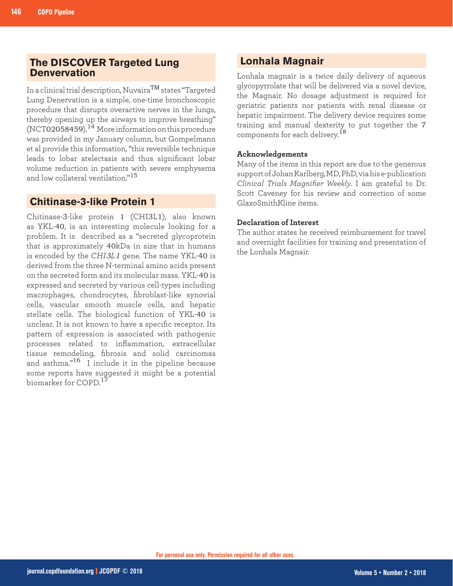# **The DISCOVER Targeted Lung Denvervation**

In a clinical trial description, NuvairaTM states "Targeted Lung Denervation is a simple, one-time bronchoscopic procedure that disrupts overactive nerves in the lungs, thereby opening up the airways to improve breathing"  $(NCT02058459).$ <sup>14</sup> More information on this procedure was provided in my January column, but Gompelmann et al provide this information, "this reversible technique leads to lobar atelectasis and thus significant lobar volume reduction in patients with severe emphysema and low collateral ventilation."<sup>15</sup>

## **Chitinase-3-like Protein 1**

Chitinase-3-like protein 1 (CHI3L1), also known as YKL-40, is an interesting molecule looking for a problem. It is described as a "secreted glycoprotein that is approximately 40kDa in size that in humans is encoded by the *CHI3L1* gene. The name YKL-40 is derived from the three N-terminal amino acids present on the secreted form and its molecular mass. YKL-40 is expressed and secreted by various cell-types including macrophages, chondrocytes, fibroblast-like synovial cells, vascular smooth muscle cells, and hepatic stellate cells. The biological function of YKL-40 is unclear. It is not known to have a specific receptor. Its pattern of expression is associated with pathogenic processes related to inflammation, extracellular tissue remodeling, fibrosis and solid carcinomas and asthma."<sup>16</sup> I include it in the pipeline because some reports have suggested it might be a potential biomarker for COPD.<sup>17</sup>

# **Lonhala Magnair**

Lonhala magnair is a twice daily delivery of aqueous glycopyrrolate that will be delivered via a novel device, the Magnair. No dosage adjustment is required for geriatric patients nor patients with renal disease or hepatic impairment. The delivery device requires some training and manual dexterity to put together the 7 components for each delivery.<sup>18</sup>

### **Acknowledgements**

Many of the items in this report are due to the generous support of Johan Karlberg, MD, PhD, via his e-publication *Clinical Trials Magnifier Weekly*. I am grateful to Dr. Scott Caveney for his review and correction of some GlaxoSmithKline items.

## **Declaration of Interest**

The author states he received reimbursement for travel and overnight facilities for training and presentation of the Lonhala Magnair.